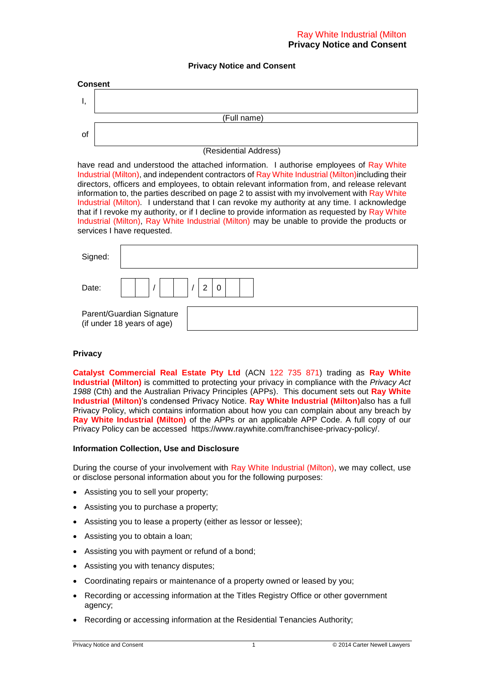### **Privacy Notice and Consent**

| <b>Consent</b> |  |  |  |
|----------------|--|--|--|
|                |  |  |  |
| (Full name)    |  |  |  |
| 0f             |  |  |  |

### (Residential Address)

have read and understood the attached information. I authorise employees of Ray White Industrial (Milton), and independent contractors of Ray White Industrial (Milton)including their directors, officers and employees, to obtain relevant information from, and release relevant information to, the parties described on page 2 to assist with my involvement with Ray White Industrial (Milton)*.* I understand that I can revoke my authority at any time. I acknowledge that if I revoke my authority, or if I decline to provide information as requested by Ray White Industrial (Milton), Ray White Industrial (Milton) may be unable to provide the products or services I have requested.

| Signed: |                                                         |   |
|---------|---------------------------------------------------------|---|
| Date:   |                                                         | っ |
|         | Parent/Guardian Signature<br>(if under 18 years of age) |   |

#### **Privacy**

**Catalyst Commercial Real Estate Pty Ltd** (ACN 122 735 871) trading as **Ray White Industrial (Milton)** is committed to protecting your privacy in compliance with the *Privacy Act 1988* (Cth) and the Australian Privacy Principles (APPs). This document sets out **Ray White Industrial (Milton)**'s condensed Privacy Notice. **Ray White Industrial (Milton)**also has a full Privacy Policy, which contains information about how you can complain about any breach by **Ray White Industrial (Milton)** of the APPs or an applicable APP Code. A full copy of our Privacy Policy can be accessed https://www.raywhite.com/franchisee-privacy-policy/.

#### **Information Collection, Use and Disclosure**

During the course of your involvement with Ray White Industrial (Milton), we may collect, use or disclose personal information about you for the following purposes:

- Assisting you to sell your property;
- Assisting you to purchase a property;
- Assisting you to lease a property (either as lessor or lessee);
- Assisting you to obtain a loan;
- Assisting you with payment or refund of a bond;
- Assisting you with tenancy disputes;
- Coordinating repairs or maintenance of a property owned or leased by you;
- Recording or accessing information at the Titles Registry Office or other government agency;
- Recording or accessing information at the Residential Tenancies Authority;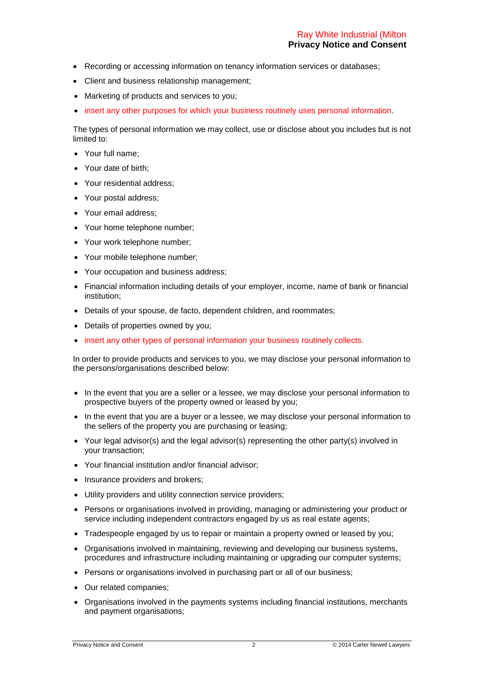- Recording or accessing information on tenancy information services or databases;
- Client and business relationship management;
- Marketing of products and services to you;
- insert any other purposes for which your business routinely uses personal information.

The types of personal information we may collect, use or disclose about you includes but is not limited to:

- Your full name;
- Your date of birth;
- Your residential address;
- Your postal address;
- Your email address:
- Your home telephone number;
- Your work telephone number;
- Your mobile telephone number;
- Your occupation and business address;
- Financial information including details of your employer, income, name of bank or financial institution;
- Details of your spouse, de facto, dependent children, and roommates;
- Details of properties owned by you;
- insert any other types of personal information your business routinely collects.

In order to provide products and services to you, we may disclose your personal information to the persons/organisations described below:

- In the event that you are a seller or a lessee, we may disclose your personal information to prospective buyers of the property owned or leased by you;
- In the event that you are a buyer or a lessee, we may disclose your personal information to the sellers of the property you are purchasing or leasing;
- Your legal advisor(s) and the legal advisor(s) representing the other party(s) involved in your transaction;
- Your financial institution and/or financial advisor;
- Insurance providers and brokers:
- Utility providers and utility connection service providers;
- Persons or organisations involved in providing, managing or administering your product or service including independent contractors engaged by us as real estate agents;
- Tradespeople engaged by us to repair or maintain a property owned or leased by you;
- Organisations involved in maintaining, reviewing and developing our business systems, procedures and infrastructure including maintaining or upgrading our computer systems;
- Persons or organisations involved in purchasing part or all of our business;
- Our related companies;
- Organisations involved in the payments systems including financial institutions, merchants and payment organisations;